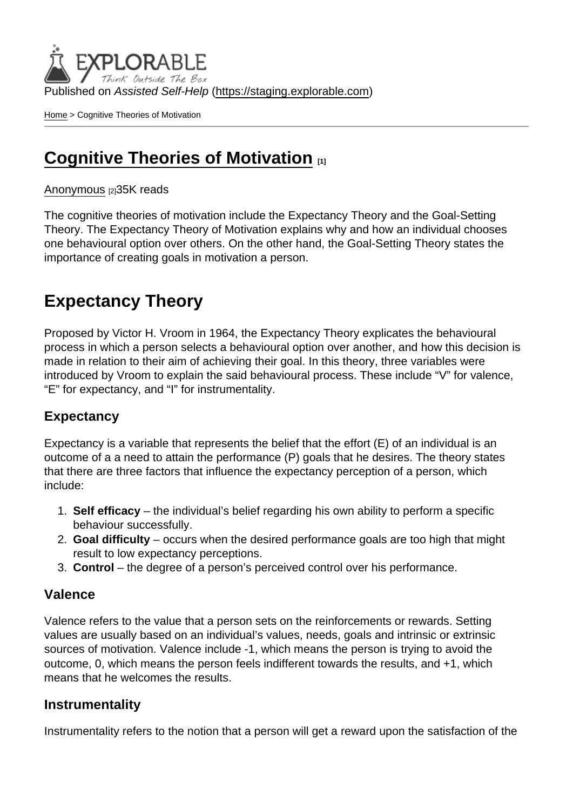Published on Assisted Self-Help [\(https://staging.explorable.com](https://staging.explorable.com))

[Home](https://staging.explorable.com/en) > Cognitive Theories of Motivation

## [Cognitive Theories of Motivation](https://staging.explorable.com/en/cognitive-theories-of-motivation) [1]

#### [Anonymous](https://staging.explorable.com/en/users/sarah) [2]35K reads

The cognitive theories of motivation include the Expectancy Theory and the Goal-Setting Theory. The Expectancy Theory of Motivation explains why and how an individual chooses one behavioural option over others. On the other hand, the Goal-Setting Theory states the importance of creating goals in motivation a person.

## Expectancy Theory

Proposed by Victor H. Vroom in 1964, the Expectancy Theory explicates the behavioural process in which a person selects a behavioural option over another, and how this decision is made in relation to their aim of achieving their goal. In this theory, three variables were introduced by Vroom to explain the said behavioural process. These include "V" for valence, "E" for expectancy, and "I" for instrumentality.

#### **Expectancy**

Expectancy is a variable that represents the belief that the effort (E) of an individual is an outcome of a a need to attain the performance (P) goals that he desires. The theory states that there are three factors that influence the expectancy perception of a person, which include:

- 1. Self efficacy the individual's belief regarding his own ability to perform a specific behaviour successfully.
- 2. Goal difficulty occurs when the desired performance goals are too high that might result to low expectancy perceptions.
- 3. Control the degree of a person's perceived control over his performance.

#### Valence

Valence refers to the value that a person sets on the reinforcements or rewards. Setting values are usually based on an individual's values, needs, goals and intrinsic or extrinsic sources of motivation. Valence include -1, which means the person is trying to avoid the outcome, 0, which means the person feels indifferent towards the results, and +1, which means that he welcomes the results.

#### **Instrumentality**

Instrumentality refers to the notion that a person will get a reward upon the satisfaction of the